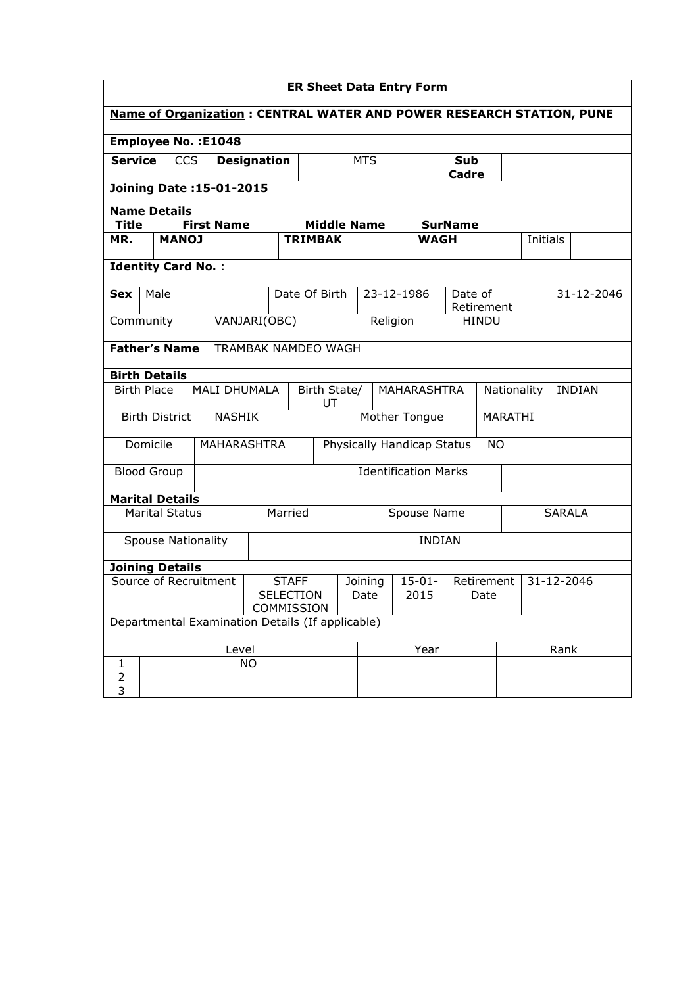| <b>ER Sheet Data Entry Form</b>                                             |                                                    |                       |                                                |                                        |                                   |                             |  |                                  |            |               |                              |              |                 |  |            |
|-----------------------------------------------------------------------------|----------------------------------------------------|-----------------------|------------------------------------------------|----------------------------------------|-----------------------------------|-----------------------------|--|----------------------------------|------------|---------------|------------------------------|--------------|-----------------|--|------------|
| <b>Name of Organization: CENTRAL WATER AND POWER RESEARCH STATION, PUNE</b> |                                                    |                       |                                                |                                        |                                   |                             |  |                                  |            |               |                              |              |                 |  |            |
|                                                                             |                                                    |                       | <b>Employee No.: E1048</b>                     |                                        |                                   |                             |  |                                  |            |               |                              |              |                 |  |            |
| <b>Service</b><br><b>CCS</b>                                                |                                                    |                       | <b>Designation</b>                             |                                        | <b>MTS</b>                        |                             |  | Sub<br>Cadre                     |            |               |                              |              |                 |  |            |
|                                                                             |                                                    |                       | Joining Date: 15-01-2015                       |                                        |                                   |                             |  |                                  |            |               |                              |              |                 |  |            |
| <b>Name Details</b>                                                         |                                                    |                       |                                                |                                        |                                   |                             |  |                                  |            |               |                              |              |                 |  |            |
| Title                                                                       |                                                    |                       | <b>First Name</b>                              |                                        |                                   |                             |  | <b>Middle Name</b>               |            |               | <b>SurName</b>               |              |                 |  |            |
| MR.                                                                         |                                                    | <b>MANOJ</b>          |                                                |                                        | <b>TRIMBAK</b>                    |                             |  |                                  |            | <b>WAGH</b>   |                              |              | <b>Initials</b> |  |            |
| <b>Identity Card No.:</b>                                                   |                                                    |                       |                                                |                                        |                                   |                             |  |                                  |            |               |                              |              |                 |  |            |
| <b>Sex</b>                                                                  | Male                                               |                       |                                                |                                        | Date Of Birth                     |                             |  |                                  | 23-12-1986 |               | Date of                      | Retirement   |                 |  | 31-12-2046 |
| Community                                                                   |                                                    |                       |                                                | VANJARI(OBC)                           |                                   |                             |  |                                  | Religion   |               |                              | <b>HINDU</b> |                 |  |            |
|                                                                             | <b>Father's Name</b><br><b>TRAMBAK NAMDEO WAGH</b> |                       |                                                |                                        |                                   |                             |  |                                  |            |               |                              |              |                 |  |            |
|                                                                             |                                                    |                       |                                                |                                        |                                   |                             |  |                                  |            |               |                              |              |                 |  |            |
| <b>Birth Details</b>                                                        |                                                    |                       |                                                |                                        |                                   |                             |  |                                  |            |               |                              |              |                 |  |            |
| <b>Birth Place</b><br>MALI DHUMALA                                          |                                                    |                       |                                                |                                        | Birth State/<br>MAHARASHTRA<br>UT |                             |  |                                  |            |               | <b>INDIAN</b><br>Nationality |              |                 |  |            |
|                                                                             |                                                    | <b>Birth District</b> | <b>NASHIK</b>                                  |                                        |                                   | Mother Tongue               |  |                                  |            |               | MARATHI                      |              |                 |  |            |
|                                                                             | Domicile                                           |                       | <b>MAHARASHTRA</b>                             |                                        |                                   | Physically Handicap Status  |  |                                  | <b>NO</b>  |               |                              |              |                 |  |            |
| <b>Blood Group</b>                                                          |                                                    |                       |                                                |                                        |                                   | <b>Identification Marks</b> |  |                                  |            |               |                              |              |                 |  |            |
| <b>Marital Details</b>                                                      |                                                    |                       |                                                |                                        |                                   |                             |  |                                  |            |               |                              |              |                 |  |            |
|                                                                             |                                                    | <b>Marital Status</b> |                                                |                                        | Married                           |                             |  | Spouse Name<br><b>SARALA</b>     |            |               |                              |              |                 |  |            |
|                                                                             |                                                    |                       | <b>Spouse Nationality</b>                      |                                        |                                   |                             |  |                                  |            | <b>INDIAN</b> |                              |              |                 |  |            |
| <b>Joining Details</b>                                                      |                                                    |                       |                                                |                                        |                                   |                             |  |                                  |            |               |                              |              |                 |  |            |
| Source of Recruitment                                                       |                                                    |                       | <b>STAFF</b><br><b>SELECTION</b><br>COMMISSION | $15 - 01 -$<br>Joining<br>2015<br>Date |                                   |                             |  | 31-12-2046<br>Retirement<br>Date |            |               |                              |              |                 |  |            |
| Departmental Examination Details (If applicable)                            |                                                    |                       |                                                |                                        |                                   |                             |  |                                  |            |               |                              |              |                 |  |            |
| Level                                                                       |                                                    |                       |                                                |                                        |                                   | Year                        |  |                                  | Rank       |               |                              |              |                 |  |            |
| $\mathbf{1}$                                                                |                                                    |                       |                                                | <b>NO</b>                              |                                   |                             |  |                                  |            |               |                              |              |                 |  |            |
| $\overline{2}$                                                              |                                                    |                       |                                                |                                        |                                   |                             |  |                                  |            |               |                              |              |                 |  |            |
| $\overline{3}$                                                              |                                                    |                       |                                                |                                        |                                   |                             |  |                                  |            |               |                              |              |                 |  |            |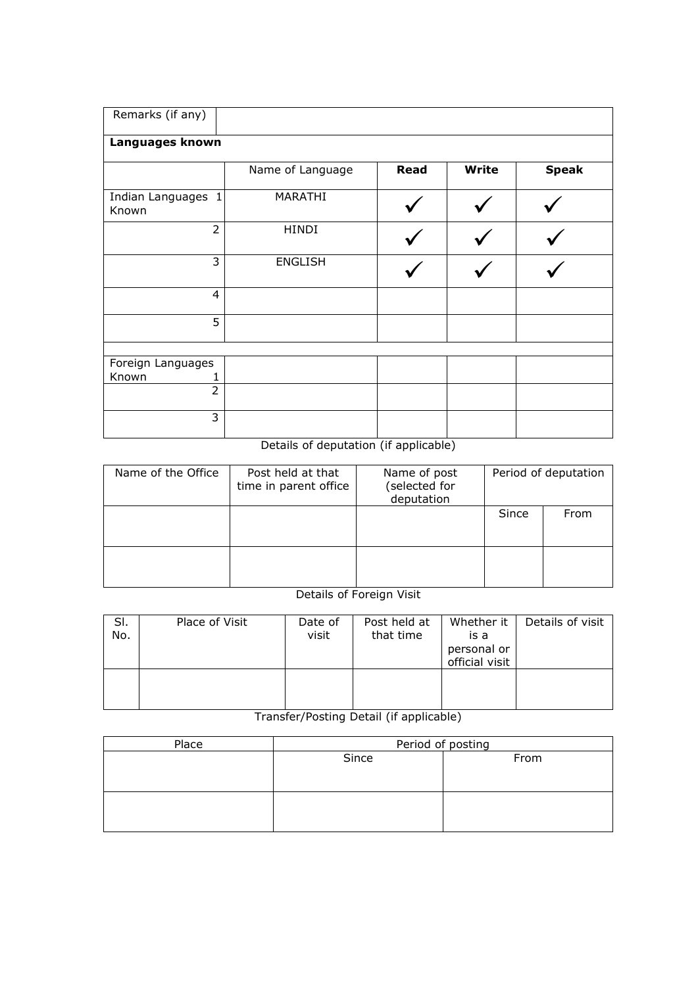| Remarks (if any)            |                  |      |       |              |
|-----------------------------|------------------|------|-------|--------------|
| Languages known             |                  |      |       |              |
|                             | Name of Language | Read | Write | <b>Speak</b> |
| Indian Languages 1<br>Known | MARATHI          |      |       |              |
| $\overline{2}$              | <b>HINDI</b>     |      |       |              |
| 3                           | <b>ENGLISH</b>   |      |       |              |
| $\overline{4}$              |                  |      |       |              |
| 5                           |                  |      |       |              |
|                             |                  |      |       |              |
| Foreign Languages           |                  |      |       |              |
| Known                       |                  |      |       |              |
| $\overline{2}$              |                  |      |       |              |
| 3                           |                  |      |       |              |

Details of deputation (if applicable)

| Name of the Office | Post held at that<br>time in parent office | Name of post<br>(selected for<br>deputation | Period of deputation |      |  |
|--------------------|--------------------------------------------|---------------------------------------------|----------------------|------|--|
|                    |                                            |                                             | Since                | From |  |
|                    |                                            |                                             |                      |      |  |

Details of Foreign Visit

| SI.<br>No. | Place of Visit | Date of<br>visit | Post held at<br>that time | Whether it<br>is a<br>personal or<br>official visit | Details of visit |
|------------|----------------|------------------|---------------------------|-----------------------------------------------------|------------------|
|            |                |                  |                           |                                                     |                  |

Transfer/Posting Detail (if applicable)

| Place | Period of posting |      |  |  |  |  |  |
|-------|-------------------|------|--|--|--|--|--|
|       | Since             | From |  |  |  |  |  |
|       |                   |      |  |  |  |  |  |
|       |                   |      |  |  |  |  |  |
|       |                   |      |  |  |  |  |  |
|       |                   |      |  |  |  |  |  |